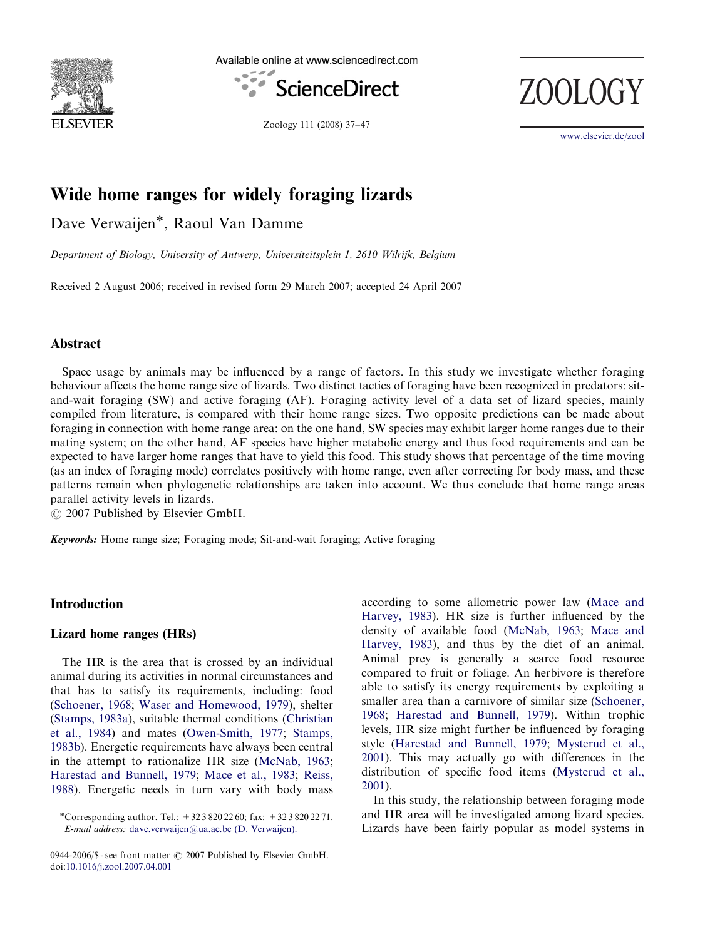

Available online at www.sciencedirect.com



ZOOLOG

Zoology 111 (2008) 37–47

<www.elsevier.de/zool>

# Wide home ranges for widely foraging lizards

Dave Verwaijen\*, Raoul Van Damme

Department of Biology, University of Antwerp, Universiteitsplein 1, 2610 Wilrijk, Belgium

Received 2 August 2006; received in revised form 29 March 2007; accepted 24 April 2007

# Abstract

Space usage by animals may be influenced by a range of factors. In this study we investigate whether foraging behaviour affects the home range size of lizards. Two distinct tactics of foraging have been recognized in predators: sitand-wait foraging (SW) and active foraging (AF). Foraging activity level of a data set of lizard species, mainly compiled from literature, is compared with their home range sizes. Two opposite predictions can be made about foraging in connection with home range area: on the one hand, SW species may exhibit larger home ranges due to their mating system; on the other hand, AF species have higher metabolic energy and thus food requirements and can be expected to have larger home ranges that have to yield this food. This study shows that percentage of the time moving (as an index of foraging mode) correlates positively with home range, even after correcting for body mass, and these patterns remain when phylogenetic relationships are taken into account. We thus conclude that home range areas parallel activity levels in lizards.

 $\overline{C}$  2007 Published by Elsevier GmbH.

Keywords: Home range size; Foraging mode; Sit-and-wait foraging; Active foraging

# Introduction

# Lizard home ranges (HRs)

The HR is the area that is crossed by an individual animal during its activities in normal circumstances and that has to satisfy its requirements, including: food ([Schoener, 1968](#page-10-0); [Waser and Homewood, 1979](#page-10-0)), shelter ([Stamps, 1983a](#page-10-0)), suitable thermal conditions ([Christian](#page-8-0) [et al., 1984](#page-8-0)) and mates ([Owen-Smith, 1977](#page-9-0); [Stamps,](#page-10-0) [1983b\)](#page-10-0). Energetic requirements have always been central in the attempt to rationalize HR size ([McNab, 1963;](#page-9-0) [Harestad and Bunnell, 1979;](#page-9-0) [Mace et al., 1983;](#page-9-0) [Reiss,](#page-10-0) [1988](#page-10-0)). Energetic needs in turn vary with body mass

according to some allometric power law [\(Mace and](#page-9-0) [Harvey, 1983](#page-9-0)). HR size is further influenced by the density of available food [\(McNab, 1963;](#page-9-0) [Mace and](#page-9-0) [Harvey, 1983\)](#page-9-0), and thus by the diet of an animal. Animal prey is generally a scarce food resource compared to fruit or foliage. An herbivore is therefore able to satisfy its energy requirements by exploiting a smaller area than a carnivore of similar size ([Schoener,](#page-10-0) [1968](#page-10-0); [Harestad and Bunnell, 1979](#page-9-0)). Within trophic levels, HR size might further be influenced by foraging style ([Harestad and Bunnell, 1979](#page-9-0); [Mysterud et al.,](#page-9-0) [2001](#page-9-0)). This may actually go with differences in the distribution of specific food items ([Mysterud et al.,](#page-9-0) [2001](#page-9-0)).

In this study, the relationship between foraging mode and HR area will be investigated among lizard species. Lizards have been fairly popular as model systems in

<sup>-</sup>Corresponding author. Tel.: +32 3 820 22 60; fax: +32 3 820 22 71. E-mail address: [dave.verwaijen@ua.ac.be \(D. Verwaijen\).](mailto:dave.verwaijen@ua.ac.be)

<sup>0944-2006/\$ -</sup> see front matter  $\odot$  2007 Published by Elsevier GmbH. doi:[10.1016/j.zool.2007.04.001](dx.doi.org/10.1016/j.zool.2007.04.001)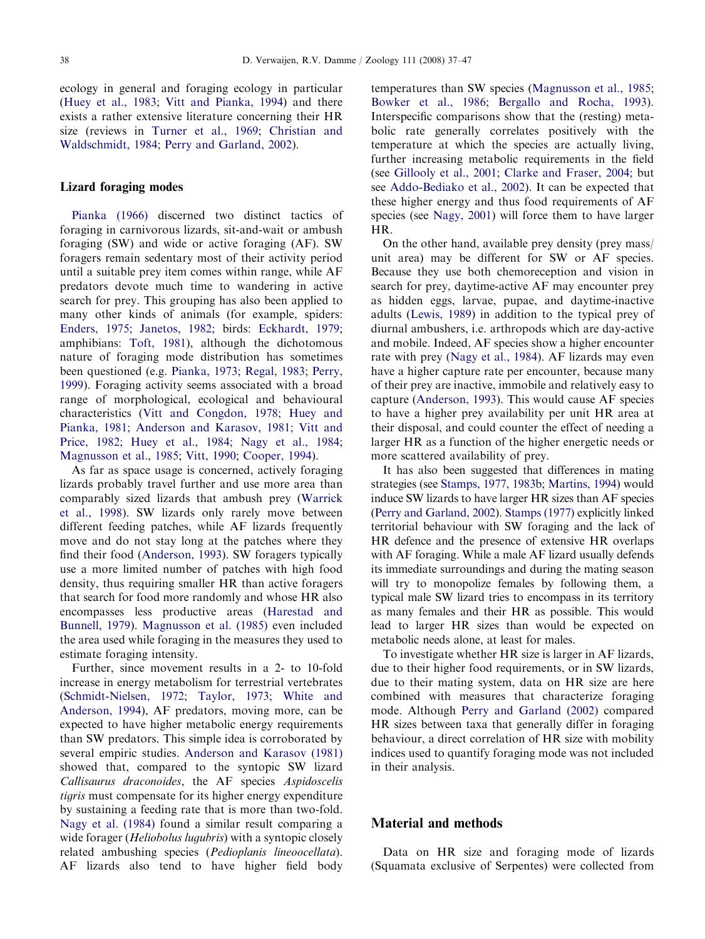ecology in general and foraging ecology in particular ([Huey et al., 1983](#page-9-0); [Vitt and Pianka, 1994](#page-10-0)) and there exists a rather extensive literature concerning their HR size (reviews in [Turner et al., 1969](#page-10-0); [Christian and](#page-8-0) [Waldschmidt, 1984](#page-8-0); [Perry and Garland, 2002\)](#page-9-0).

## Lizard foraging modes

[Pianka \(1966\)](#page-9-0) discerned two distinct tactics of foraging in carnivorous lizards, sit-and-wait or ambush foraging (SW) and wide or active foraging (AF). SW foragers remain sedentary most of their activity period until a suitable prey item comes within range, while AF predators devote much time to wandering in active search for prey. This grouping has also been applied to many other kinds of animals (for example, spiders: [Enders, 1975](#page-8-0); [Janetos, 1982](#page-9-0); birds: [Eckhardt, 1979](#page-8-0); amphibians: [Toft, 1981](#page-10-0)), although the dichotomous nature of foraging mode distribution has sometimes been questioned (e.g. [Pianka, 1973;](#page-10-0) [Regal, 1983;](#page-10-0) [Perry,](#page-9-0) [1999\)](#page-9-0). Foraging activity seems associated with a broad range of morphological, ecological and behavioural characteristics ([Vitt and Congdon, 1978](#page-10-0); [Huey and](#page-9-0) [Pianka, 1981;](#page-9-0) [Anderson and Karasov, 1981](#page-8-0); [Vitt and](#page-10-0) [Price, 1982](#page-10-0); [Huey et al., 1984](#page-9-0); [Nagy et al., 1984](#page-9-0); [Magnusson et al., 1985;](#page-9-0) [Vitt, 1990;](#page-10-0) [Cooper, 1994](#page-8-0)).

As far as space usage is concerned, actively foraging lizards probably travel further and use more area than comparably sized lizards that ambush prey ([Warrick](#page-10-0) [et al., 1998](#page-10-0)). SW lizards only rarely move between different feeding patches, while AF lizards frequently move and do not stay long at the patches where they find their food ([Anderson, 1993\)](#page-8-0). SW foragers typically use a more limited number of patches with high food density, thus requiring smaller HR than active foragers that search for food more randomly and whose HR also encompasses less productive areas ([Harestad and](#page-9-0) [Bunnell, 1979](#page-9-0)). [Magnusson et al. \(1985\)](#page-9-0) even included the area used while foraging in the measures they used to estimate foraging intensity.

Further, since movement results in a 2- to 10-fold increase in energy metabolism for terrestrial vertebrates ([Schmidt-Nielsen, 1972;](#page-10-0) [Taylor, 1973;](#page-10-0) [White and](#page-10-0) [Anderson, 1994](#page-10-0)), AF predators, moving more, can be expected to have higher metabolic energy requirements than SW predators. This simple idea is corroborated by several empiric studies. [Anderson and Karasov \(1981\)](#page-8-0) showed that, compared to the syntopic SW lizard Callisaurus draconoides, the AF species Aspidoscelis tigris must compensate for its higher energy expenditure by sustaining a feeding rate that is more than two-fold. [Nagy et al. \(1984\)](#page-9-0) found a similar result comparing a wide forager (*Heliobolus lugubris*) with a syntopic closely related ambushing species (Pedioplanis lineoocellata). AF lizards also tend to have higher field body temperatures than SW species ([Magnusson et al., 1985](#page-9-0); [Bowker et al., 1986;](#page-8-0) [Bergallo and Rocha, 1993\)](#page-8-0). Interspecific comparisons show that the (resting) metabolic rate generally correlates positively with the temperature at which the species are actually living, further increasing metabolic requirements in the field (see [Gillooly et al., 2001;](#page-8-0) [Clarke and Fraser, 2004](#page-8-0); but see [Addo-Bediako et al., 2002\)](#page-7-0). It can be expected that these higher energy and thus food requirements of AF species (see [Nagy, 2001\)](#page-9-0) will force them to have larger HR.

On the other hand, available prey density (prey mass/ unit area) may be different for SW or AF species. Because they use both chemoreception and vision in search for prey, daytime-active AF may encounter prey as hidden eggs, larvae, pupae, and daytime-inactive adults ([Lewis, 1989](#page-9-0)) in addition to the typical prey of diurnal ambushers, i.e. arthropods which are day-active and mobile. Indeed, AF species show a higher encounter rate with prey ([Nagy et al., 1984](#page-9-0)). AF lizards may even have a higher capture rate per encounter, because many of their prey are inactive, immobile and relatively easy to capture ([Anderson, 1993\)](#page-8-0). This would cause AF species to have a higher prey availability per unit HR area at their disposal, and could counter the effect of needing a larger HR as a function of the higher energetic needs or more scattered availability of prey.

It has also been suggested that differences in mating strategies (see [Stamps, 1977, 1983b;](#page-10-0) [Martins, 1994](#page-9-0)) would induce SW lizards to have larger HR sizes than AF species ([Perry and Garland, 2002\)](#page-9-0). [Stamps \(1977\)](#page-10-0) explicitly linked territorial behaviour with SW foraging and the lack of HR defence and the presence of extensive HR overlaps with AF foraging. While a male AF lizard usually defends its immediate surroundings and during the mating season will try to monopolize females by following them, a typical male SW lizard tries to encompass in its territory as many females and their HR as possible. This would lead to larger HR sizes than would be expected on metabolic needs alone, at least for males.

To investigate whether HR size is larger in AF lizards, due to their higher food requirements, or in SW lizards, due to their mating system, data on HR size are here combined with measures that characterize foraging mode. Although [Perry and Garland \(2002\)](#page-9-0) compared HR sizes between taxa that generally differ in foraging behaviour, a direct correlation of HR size with mobility indices used to quantify foraging mode was not included in their analysis.

# Material and methods

Data on HR size and foraging mode of lizards (Squamata exclusive of Serpentes) were collected from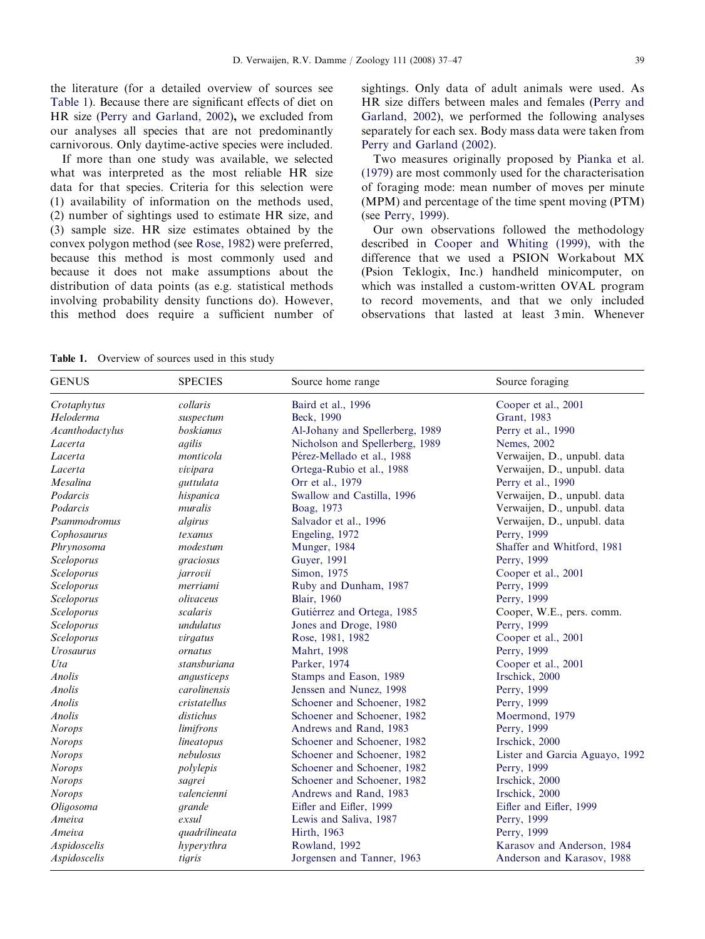the literature (for a detailed overview of sources see Table 1). Because there are significant effects of diet on HR size ([Perry and Garland, 2002](#page-9-0)), we excluded from our analyses all species that are not predominantly carnivorous. Only daytime-active species were included.

If more than one study was available, we selected what was interpreted as the most reliable HR size data for that species. Criteria for this selection were (1) availability of information on the methods used, (2) number of sightings used to estimate HR size, and (3) sample size. HR size estimates obtained by the convex polygon method (see [Rose, 1982\)](#page-10-0) were preferred, because this method is most commonly used and because it does not make assumptions about the distribution of data points (as e.g. statistical methods involving probability density functions do). However, this method does require a sufficient number of sightings. Only data of adult animals were used. As HR size differs between males and females ([Perry and](#page-9-0) [Garland, 2002\)](#page-9-0), we performed the following analyses separately for each sex. Body mass data were taken from [Perry and Garland \(2002\).](#page-9-0)

Two measures originally proposed by [Pianka et al.](#page-10-0) [\(1979\)](#page-10-0) are most commonly used for the characterisation of foraging mode: mean number of moves per minute (MPM) and percentage of the time spent moving (PTM) (see [Perry, 1999\)](#page-9-0).

Our own observations followed the methodology described in [Cooper and Whiting \(1999\),](#page-8-0) with the difference that we used a PSION Workabout MX (Psion Teklogix, Inc.) handheld minicomputer, on which was installed a custom-written OVAL program to record movements, and that we only included observations that lasted at least 3 min. Whenever

Table 1. Overview of sources used in this study

| <b>GENUS</b>     | <b>SPECIES</b>                 | Source home range               | Source foraging                |  |  |
|------------------|--------------------------------|---------------------------------|--------------------------------|--|--|
| Crotaphytus      | collaris<br>Baird et al., 1996 |                                 | Cooper et al., 2001            |  |  |
| Heloderma        | suspectum                      | Beck, 1990                      | Grant, 1983                    |  |  |
| Acanthodactylus  | boskianus                      | Al-Johany and Spellerberg, 1989 | Perry et al., 1990             |  |  |
| Lacerta          | agilis                         | Nicholson and Spellerberg, 1989 | Nemes, 2002                    |  |  |
| Lacerta          | monticola                      | Pérez-Mellado et al., 1988      | Verwaijen, D., unpubl. data    |  |  |
| Lacerta          | vivipara                       | Ortega-Rubio et al., 1988       | Verwaijen, D., unpubl. data    |  |  |
| Mesalina         | guttulata                      | Orr et al., 1979                | Perry et al., 1990             |  |  |
| Podarcis         | hispanica                      | Swallow and Castilla, 1996      | Verwaijen, D., unpubl. data    |  |  |
| Podarcis         | muralis                        | Boag, 1973                      | Verwaijen, D., unpubl. data    |  |  |
| Psammodromus     | algirus                        | Salvador et al., 1996           | Verwaijen, D., unpubl. data    |  |  |
| Cophosaurus      | texanus                        | Engeling, 1972                  | Perry, 1999                    |  |  |
| Phrynosoma       | modestum                       | Munger, 1984                    | Shaffer and Whitford, 1981     |  |  |
| Sceloporus       | graciosus                      | Guyer, 1991                     | Perry, 1999                    |  |  |
| Sceloporus       | jarrovii                       | Simon, 1975                     | Cooper et al., 2001            |  |  |
| Sceloporus       | merriami                       | Ruby and Dunham, 1987           | Perry, 1999                    |  |  |
| Sceloporus       | olivaceus                      | <b>Blair</b> , 1960             | Perry, 1999                    |  |  |
| Sceloporus       | scalaris                       | Gutiérrez and Ortega, 1985      | Cooper, W.E., pers. comm.      |  |  |
| Sceloporus       | undulatus                      | Jones and Droge, 1980           | Perry, 1999                    |  |  |
| Sceloporus       | virgatus                       | Rose, 1981, 1982                | Cooper et al., 2001            |  |  |
| <b>Urosaurus</b> | ornatus                        | Mahrt, 1998                     | Perry, 1999                    |  |  |
| Uta              | stansburiana                   | Parker, 1974                    | Cooper et al., 2001            |  |  |
| <b>Anolis</b>    | angusticeps                    | Stamps and Eason, 1989          | Irschick, 2000                 |  |  |
| Anolis           | carolinensis                   | Jenssen and Nunez, 1998         | Perry, 1999                    |  |  |
| Anolis           | cristatellus                   | Schoener and Schoener, 1982     | Perry, 1999                    |  |  |
| Anolis           | distichus                      | Schoener and Schoener, 1982     | Moermond, 1979                 |  |  |
| <b>Norops</b>    | limifrons                      | Andrews and Rand, 1983          | Perry, 1999                    |  |  |
| <b>Norops</b>    | lineatopus                     | Schoener and Schoener, 1982     | Irschick, 2000                 |  |  |
| <b>Norops</b>    | nebulosus                      | Schoener and Schoener, 1982     | Lister and Garcia Aguayo, 1992 |  |  |
| <b>Norops</b>    | polylepis                      | Schoener and Schoener, 1982     | Perry, 1999                    |  |  |
| <b>Norops</b>    | sagrei                         | Schoener and Schoener, 1982     | Irschick, 2000                 |  |  |
| <b>Norops</b>    | valencienni                    | Andrews and Rand, 1983          | Irschick, 2000                 |  |  |
| Oligosoma        | grande                         | Eifler and Eifler, 1999         | Eifler and Eifler, 1999        |  |  |
| Ameiva           | exsul                          | Lewis and Saliva, 1987          | Perry, 1999                    |  |  |
| Ameiva           | quadrilineata                  | Hirth, 1963                     | Perry, 1999                    |  |  |
| Aspidoscelis     | hyperythra                     | Rowland, 1992                   | Karasov and Anderson, 1984     |  |  |
| Aspidoscelis     | tigris                         | Jorgensen and Tanner, 1963      | Anderson and Karasov, 1988     |  |  |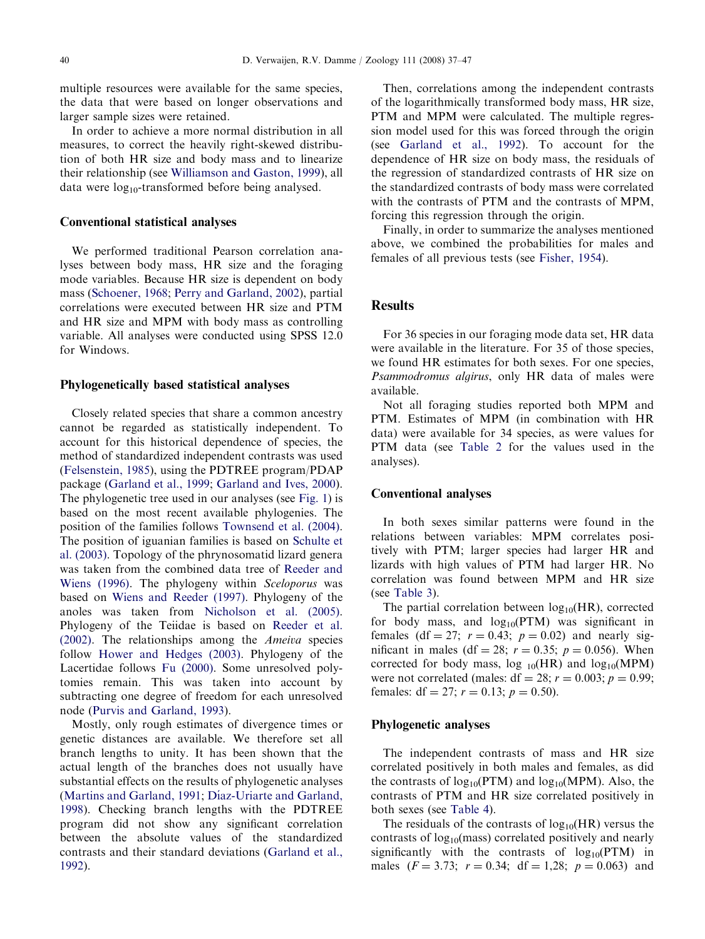multiple resources were available for the same species, the data that were based on longer observations and larger sample sizes were retained.

In order to achieve a more normal distribution in all measures, to correct the heavily right-skewed distribution of both HR size and body mass and to linearize their relationship (see [Williamson and Gaston, 1999\)](#page-10-0), all data were  $log_{10}$ -transformed before being analysed.

## Conventional statistical analyses

We performed traditional Pearson correlation analyses between body mass, HR size and the foraging mode variables. Because HR size is dependent on body mass ([Schoener, 1968;](#page-10-0) [Perry and Garland, 2002\)](#page-9-0), partial correlations were executed between HR size and PTM and HR size and MPM with body mass as controlling variable. All analyses were conducted using SPSS 12.0 for Windows.

## Phylogenetically based statistical analyses

Closely related species that share a common ancestry cannot be regarded as statistically independent. To account for this historical dependence of species, the method of standardized independent contrasts was used ([Felsenstein, 1985\)](#page-8-0), using the PDTREE program/PDAP package ([Garland et al., 1999](#page-8-0); [Garland and Ives, 2000\)](#page-8-0). The phylogenetic tree used in our analyses (see [Fig. 1](#page-4-0)) is based on the most recent available phylogenies. The position of the families follows [Townsend et al. \(2004\)](#page-10-0). The position of iguanian families is based on [Schulte et](#page-10-0) [al. \(2003\)](#page-10-0). Topology of the phrynosomatid lizard genera was taken from the combined data tree of [Reeder and](#page-10-0) [Wiens \(1996\)](#page-10-0). The phylogeny within Sceloporus was based on [Wiens and Reeder \(1997\)](#page-10-0). Phylogeny of the anoles was taken from [Nicholson et al. \(2005\)](#page-9-0). Phylogeny of the Teiidae is based on [Reeder et al.](#page-10-0) [\(2002\)](#page-10-0). The relationships among the Ameiva species follow [Hower and Hedges \(2003\)](#page-9-0). Phylogeny of the Lacertidae follows [Fu \(2000\)](#page-8-0). Some unresolved polytomies remain. This was taken into account by subtracting one degree of freedom for each unresolved node [\(Purvis and Garland, 1993\)](#page-10-0).

Mostly, only rough estimates of divergence times or genetic distances are available. We therefore set all branch lengths to unity. It has been shown that the actual length of the branches does not usually have substantial effects on the results of phylogenetic analyses ([Martins and Garland, 1991](#page-9-0); Díaz-Uriarte and Garland, [1998\)](#page-8-0). Checking branch lengths with the PDTREE program did not show any significant correlation between the absolute values of the standardized contrasts and their standard deviations [\(Garland et al.,](#page-8-0) [1992\)](#page-8-0).

Then, correlations among the independent contrasts of the logarithmically transformed body mass, HR size, PTM and MPM were calculated. The multiple regression model used for this was forced through the origin (see [Garland et al., 1992\)](#page-8-0). To account for the dependence of HR size on body mass, the residuals of the regression of standardized contrasts of HR size on the standardized contrasts of body mass were correlated with the contrasts of PTM and the contrasts of MPM, forcing this regression through the origin.

Finally, in order to summarize the analyses mentioned above, we combined the probabilities for males and females of all previous tests (see [Fisher, 1954](#page-8-0)).

# **Results**

For 36 species in our foraging mode data set, HR data were available in the literature. For 35 of those species, we found HR estimates for both sexes. For one species, Psammodromus algirus, only HR data of males were available.

Not all foraging studies reported both MPM and PTM. Estimates of MPM (in combination with HR data) were available for 34 species, as were values for PTM data (see [Table 2](#page-5-0) for the values used in the analyses).

## Conventional analyses

In both sexes similar patterns were found in the relations between variables: MPM correlates positively with PTM; larger species had larger HR and lizards with high values of PTM had larger HR. No correlation was found between MPM and HR size (see [Table 3](#page-7-0)).

The partial correlation between  $log_{10}(HR)$ , corrected for body mass, and  $log_{10}(PTM)$  was significant in females (df = 27;  $r = 0.43$ ;  $p = 0.02$ ) and nearly significant in males (df = 28;  $r = 0.35$ ;  $p = 0.056$ ). When corrected for body mass,  $log_{10}(HR)$  and  $log_{10}(MPM)$ were not correlated (males:  $df = 28$ ;  $r = 0.003$ ;  $p = 0.99$ ; females:  $df = 27$ ;  $r = 0.13$ ;  $p = 0.50$ ).

#### Phylogenetic analyses

The independent contrasts of mass and HR size correlated positively in both males and females, as did the contrasts of  $log_{10}(PTM)$  and  $log_{10}(MPM)$ . Also, the contrasts of PTM and HR size correlated positively in both sexes (see [Table 4](#page-7-0)).

The residuals of the contrasts of  $log_{10}(HR)$  versus the contrasts of  $log_{10}$ (mass) correlated positively and nearly significantly with the contrasts of  $log_{10}(PTM)$  in males  $(F = 3.73; r = 0.34; df = 1,28; p = 0.063)$  and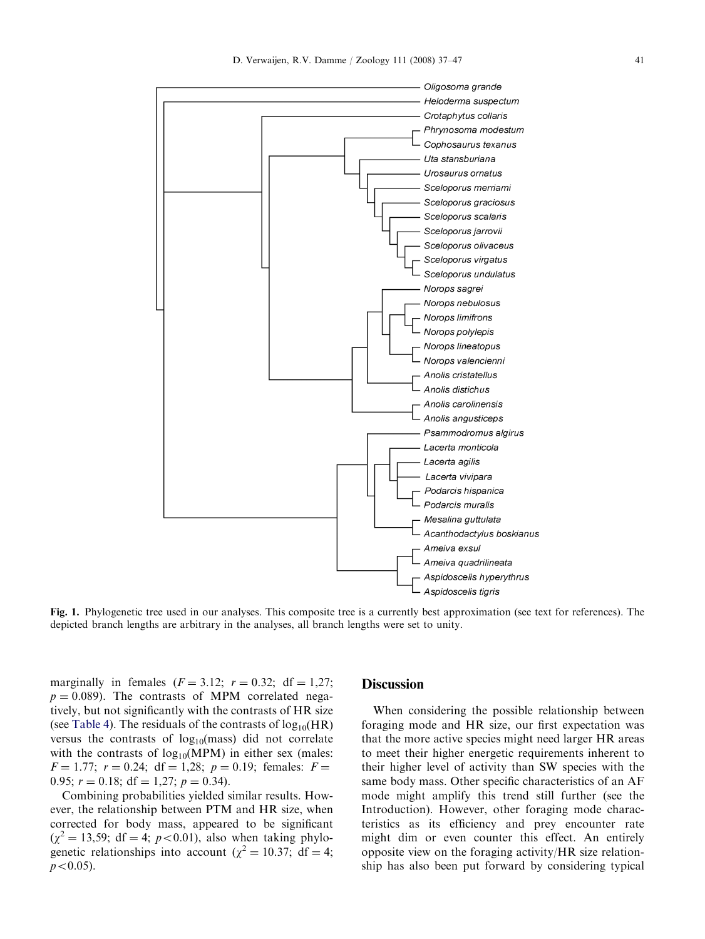<span id="page-4-0"></span>

Fig. 1. Phylogenetic tree used in our analyses. This composite tree is a currently best approximation (see text for references). The depicted branch lengths are arbitrary in the analyses, all branch lengths were set to unity.

marginally in females  $(F = 3.12; r = 0.32; df = 1.27;$  $p = 0.089$ . The contrasts of MPM correlated negatively, but not significantly with the contrasts of HR size (see [Table 4](#page-7-0)). The residuals of the contrasts of  $log_{10}(HR)$ versus the contrasts of  $log_{10}(mass)$  did not correlate with the contrasts of  $log_{10}(MPM)$  in either sex (males:  $F = 1.77$ ;  $r = 0.24$ ; df = 1,28;  $p = 0.19$ ; females:  $F =$ 0.95;  $r = 0.18$ ; df = 1,27;  $p = 0.34$ ).

Combining probabilities yielded similar results. However, the relationship between PTM and HR size, when corrected for body mass, appeared to be significant  $(\chi^2 = 13,59; df = 4; p < 0.01)$ , also when taking phylogenetic relationships into account ( $\chi^2 = 10.37$ ; df = 4;  $p < 0.05$ ).

## **Discussion**

When considering the possible relationship between foraging mode and HR size, our first expectation was that the more active species might need larger HR areas to meet their higher energetic requirements inherent to their higher level of activity than SW species with the same body mass. Other specific characteristics of an AF mode might amplify this trend still further (see the Introduction). However, other foraging mode characteristics as its efficiency and prey encounter rate might dim or even counter this effect. An entirely opposite view on the foraging activity/HR size relationship has also been put forward by considering typical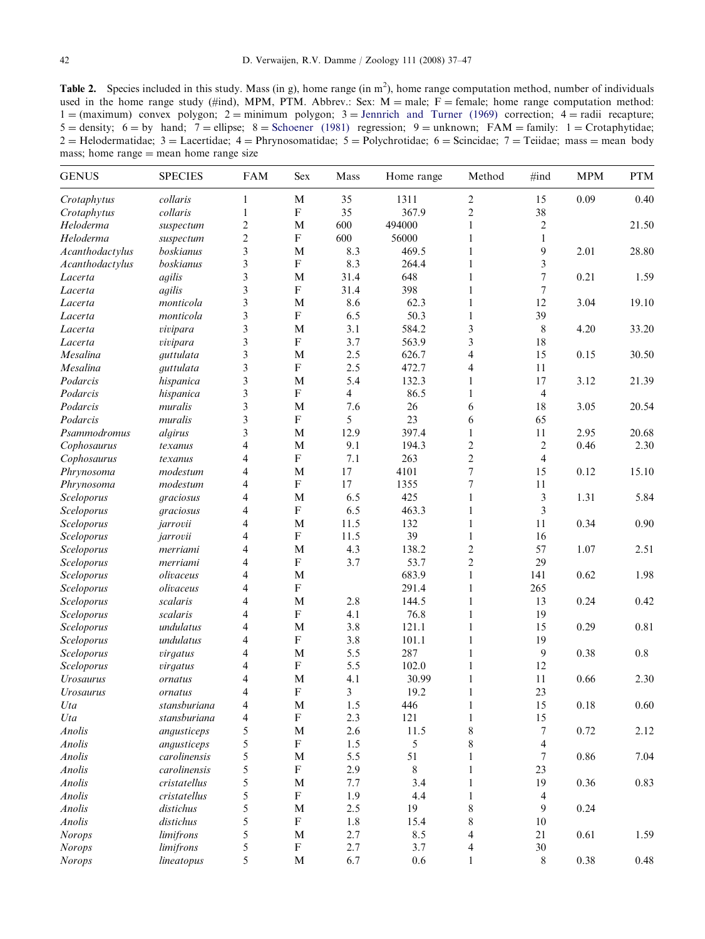<span id="page-5-0"></span>Table 2. Species included in this study. Mass (in g), home range (in  $m^2$ ), home range computation method, number of individuals used in the home range study (#ind), MPM, PTM. Abbrev.: Sex:  $M =$  male;  $F =$  female; home range computation method:  $1 = (maximum) \, \, \text{convex} \, \, \text{polygon}; \, \, 2 = \text{minimum} \, \, \text{polygon}; \, \, 3 = \text{Jennrich} \, \, \text{and} \, \, \text{Turner} \, \, (1969) \, \, \text{correction}; \, \, 4 = \text{radii} \, \, \text{recapture};$  $5 =$  density; 6  $=$  by hand; 7  $=$  ellipse; 8  $=$  [Schoener \(1981\)](#page-10-0) regression; 9  $=$  unknown; FAM  $=$  family: 1  $=$  Crotaphytidae;  $2 =$  Helodermatidae; 3 = Lacertidae; 4 = Phrynosomatidae; 5 = Polychrotidae; 6 = Scincidae; 7 = Teiidae; mass = mean body mass; home range  $=$  mean home range size

| <b>GENUS</b>            | <b>SPECIES</b> | <b>FAM</b>     | Sex                       | Mass | Home range | Method                   | #ind                | <b>MPM</b> | <b>PTM</b> |
|-------------------------|----------------|----------------|---------------------------|------|------------|--------------------------|---------------------|------------|------------|
| Crotaphytus             | collaris       | $\mathbf{1}$   | $\mathbf M$               | 35   | 1311       | $\sqrt{2}$               | 15                  | 0.09       | 0.40       |
| Crotaphytus             | collaris       | $\mathbf{1}$   | ${\bf F}$                 | 35   | 367.9      | $\overline{c}$           | 38                  |            |            |
| Heloderma               | suspectum      | $\overline{2}$ | M                         | 600  | 494000     | 1                        | $\overline{2}$      |            | 21.50      |
| Heloderma               | suspectum      | $\overline{c}$ | ${\bf F}$                 | 600  | 56000      | 1                        | 1                   |            |            |
| Acanthodactylus         | boskianus      | 3              | M                         | 8.3  | 469.5      | 1                        | 9                   | 2.01       | 28.80      |
| Acanthodactylus         | boskianus      | 3              | ${\bf F}$                 | 8.3  | 264.4      | 1                        | 3                   |            |            |
| Lacerta                 | agilis         | 3              | M                         | 31.4 | 648        | 1                        | $\overline{7}$      | 0.21       | 1.59       |
| Lacerta                 | agilis         | 3              | ${\bf F}$                 | 31.4 | 398        | 1                        | 7                   |            |            |
| Lacerta                 | monticola      | 3              | M                         | 8.6  | 62.3       | $\mathbf{1}$             | 12                  | 3.04       | 19.10      |
| Lacerta                 | monticola      | 3              | ${\bf F}$                 | 6.5  | 50.3       | 1                        | 39                  |            |            |
| Lacerta                 | vivipara       | 3              | $\mathbf{M}$              | 3.1  | 584.2      | 3                        | $8\phantom{.0}$     | 4.20       | 33.20      |
| Lacerta                 | vivipara       | 3              | ${\bf F}$                 | 3.7  | 563.9      | 3                        | 18                  |            |            |
| Mesalina                | guttulata      | 3              | M                         | 2.5  | 626.7      | $\overline{4}$           | 15                  | 0.15       | 30.50      |
| Mesalina                | guttulata      | 3              | ${\rm F}$                 | 2.5  | 472.7      | 4                        | 11                  |            |            |
| Podarcis                | hispanica      | 3              | M                         | 5.4  | 132.3      | 1                        | 17                  | 3.12       | 21.39      |
| Podarcis                | hispanica      | 3              | ${\bf F}$                 | 4    | 86.5       | 1                        | $\overline{4}$      |            |            |
| Podarcis                | muralis        | 3              | M                         | 7.6  | 26         | 6                        | $18\,$              | 3.05       | 20.54      |
| Podarcis                | muralis        | 3              | ${\bf F}$                 | 5    | 23         | 6                        | 65                  |            |            |
| Psammodromus            | algirus        | 3              | M                         | 12.9 | 397.4      | 1                        | 11                  | 2.95       | 20.68      |
| Cophosaurus             | texanus        | $\overline{4}$ | M                         | 9.1  | 194.3      | $\overline{c}$           | $\overline{2}$      | 0.46       | 2.30       |
| Cophosaurus             | texanus        | $\overline{4}$ | $\boldsymbol{\mathrm{F}}$ | 7.1  | 263        | $\overline{c}$           | 4                   |            |            |
| Phrynosoma              | modestum       | $\overline{4}$ | M                         | 17   | 4101       | $\tau$                   | 15                  | 0.12       | 15.10      |
| Phrynosoma              | modestum       | 4              | ${\rm F}$                 | 17   | 1355       | 7                        | 11                  |            |            |
| Sceloporus              | graciosus      | $\overline{4}$ | M                         | 6.5  | 425        | $\mathbf{1}$             | 3                   | 1.31       | 5.84       |
| Sceloporus              | graciosus      | $\overline{4}$ | ${\bf F}$                 | 6.5  | 463.3      | $\mathbf{1}$             | 3                   |            |            |
| Sceloporus              | jarrovii       | $\overline{4}$ | $\mathbf{M}$              | 11.5 | 132        | 1                        | 11                  | 0.34       | 0.90       |
| Sceloporus              | jarrovii       | $\overline{4}$ | ${\bf F}$                 | 11.5 | 39         | 1                        | 16                  |            |            |
| Sceloporus              | merriami       | $\overline{4}$ | M                         | 4.3  | 138.2      | $\overline{c}$           | 57                  | 1.07       | 2.51       |
| Sceloporus              | merriami       | 4              | ${\bf F}$                 | 3.7  | 53.7       | $\overline{c}$           | 29                  |            |            |
| Sceloporus              | olivaceus      | 4              | M                         |      | 683.9      | $\mathbf{1}$             | 141                 | 0.62       | 1.98       |
| Sceloporus              | olivaceus      | $\overline{4}$ | ${\bf F}$                 |      | 291.4      | $\mathbf{1}$             | 265                 |            |            |
| Sceloporus              | scalaris       | $\overline{4}$ | M                         | 2.8  | 144.5      | $\mathbf{1}$             | 13                  | 0.24       | 0.42       |
| Sceloporus              | scalaris       | $\overline{4}$ | ${\bf F}$                 | 4.1  | 76.8       | 1                        | 19                  |            |            |
| Sceloporus              | undulatus      | $\overline{4}$ | M                         | 3.8  | 121.1      | 1                        | 15                  | 0.29       | 0.81       |
| Sceloporus              | undulatus      | $\overline{4}$ | ${\bf F}$                 | 3.8  | 101.1      | 1                        | 19                  |            |            |
| Sceloporus              | virgatus       | 4              | M                         | 5.5  | 287        | 1                        | 9                   | 0.38       | 0.8        |
| Sceloporus              | virgatus       | $\overline{4}$ | ${\bf F}$                 | 5.5  | 102.0      | 1                        | 12                  |            |            |
| <b>Urosaurus</b>        | ornatus        | $\overline{4}$ | M                         | 4.1  | 30.99      | 1                        | 11                  | 0.66       | 2.30       |
| <i><b>Urosaurus</b></i> | ornatus        | $\overline{4}$ | ${\rm F}$                 | 3    | 19.2       | 1                        | $23\,$              |            |            |
| Uta                     | stansburiana   | 4              | $\mathbf M$               | 1.5  | 446        | $\mathbf{1}$             | 15                  | 0.18       | $0.60\,$   |
| Uta                     | stansburiana   | $\overline{4}$ | ${\bf F}$                 | 2.3  | 121        | $\,1$                    | 15                  |            |            |
| Anolis                  | angusticeps    | 5              | $\mathbf{M}$              | 2.6  | 11.5       | $\,$ 8 $\,$              | $\boldsymbol{7}$    | 0.72       | 2.12       |
| Anolis                  | angusticeps    | 5              | ${\bf F}$                 | 1.5  | 5          | $\,$ $\,$                | 4                   |            |            |
| Anolis                  | carolinensis   | 5              | $\mathbf{M}$              | 5.5  | 51         | 1                        | $\tau$              | 0.86       | 7.04       |
| Anolis                  | carolinensis   | 5              | ${\bf F}$                 | 2.9  | $8\,$      | 1                        | 23                  |            |            |
| Anolis                  | cristatellus   | 5              | $\mathbf{M}$              | 7.7  | 3.4        | 1                        | 19                  | 0.36       | 0.83       |
|                         |                | 5              | $\boldsymbol{\mathrm{F}}$ | 1.9  | 4.4        | $\mathbf{1}$             |                     |            |            |
| Anolis                  | cristatellus   | 5              | $\mathbf{M}$              | 2.5  | 19         | $\,$ 8 $\,$              | $\overline{4}$<br>9 | 0.24       |            |
| Anolis                  | distichus      | 5              | $\boldsymbol{\mathrm{F}}$ | 1.8  |            |                          |                     |            |            |
| Anolis                  | distichus      | 5              |                           |      | 15.4       | $\,$ $\,$                | 10                  |            |            |
| <b>Norops</b>           | limifrons      |                | M<br>${\bf F}$            | 2.7  | 8.5        | $\overline{\mathcal{A}}$ | 21                  | 0.61       | 1.59       |
| <b>Norops</b>           | limifrons      | 5              |                           | 2.7  | 3.7        | 4                        | $30\,$              |            |            |
| <b>Norops</b>           | lineatopus     | 5              | $\mathbf M$               | 6.7  | 0.6        | 1                        | 8                   | 0.38       | 0.48       |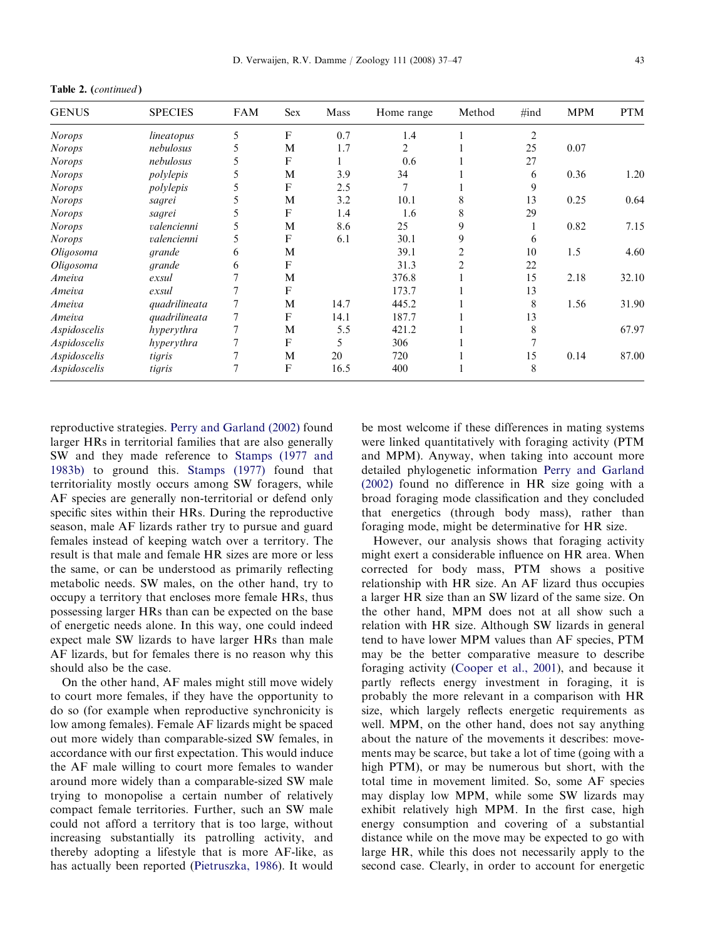Table 2. (continued )

| <b>GENUS</b>  | <b>SPECIES</b> | <b>FAM</b> | <b>Sex</b> | Mass | Home range     | Method | $\#ind$        | <b>MPM</b> | <b>PTM</b> |
|---------------|----------------|------------|------------|------|----------------|--------|----------------|------------|------------|
| <b>Norops</b> | lineatopus     | 5          | F          | 0.7  | 1.4            |        | $\overline{2}$ |            |            |
| <b>Norops</b> | nebulosus      | 5          | M          | 1.7  | 2              |        | 25             | 0.07       |            |
| <b>Norops</b> | nebulosus      |            | F          |      | 0.6            |        | 27             |            |            |
| <b>Norops</b> | polylepis      |            | M          | 3.9  | 34             |        | 6              | 0.36       | 1.20       |
| <b>Norops</b> | polylepis      | 5          | F          | 2.5  | $\overline{7}$ |        | 9              |            |            |
| <b>Norops</b> | sagrei         |            | М          | 3.2  | 10.1           |        | 13             | 0.25       | 0.64       |
| <b>Norops</b> | sagrei         |            | F          | 1.4  | 1.6            |        | 29             |            |            |
| <b>Norops</b> | valencienni    |            | M          | 8.6  | 25             | 9      |                | 0.82       | 7.15       |
| <b>Norops</b> | valencienni    |            | F          | 6.1  | 30.1           | 9      | 6              |            |            |
| Oligosoma     | grande         | 6          | M          |      | 39.1           |        | 10             | 1.5        | 4.60       |
| Oligosoma     | grande         | 6          | F          |      | 31.3           |        | 22             |            |            |
| Ameiva        | exsul          |            | M          |      | 376.8          |        | 15             | 2.18       | 32.10      |
| Ameiva        | exsul          |            | F          |      | 173.7          |        | 13             |            |            |
| Ameiva        | quadrilineata  |            | M          | 14.7 | 445.2          |        | 8              | 1.56       | 31.90      |
| Ameiva        | quadrilineata  |            | F          | 14.1 | 187.7          |        | 13             |            |            |
| Aspidoscelis  | hyperythra     |            | M          | 5.5  | 421.2          |        | 8              |            | 67.97      |
| Aspidoscelis  | hyperythra     |            | F          | 5    | 306            |        |                |            |            |
| Aspidoscelis  | tigris         |            | М          | 20   | 720            |        | 15             | 0.14       | 87.00      |
| Aspidoscelis  | tigris         |            | F          | 16.5 | 400            |        | 8              |            |            |

reproductive strategies. [Perry and Garland \(2002\)](#page-9-0) found larger HRs in territorial families that are also generally SW and they made reference to [Stamps \(1977 and](#page-10-0) [1983b\)](#page-10-0) to ground this. [Stamps \(1977\)](#page-10-0) found that territoriality mostly occurs among SW foragers, while AF species are generally non-territorial or defend only specific sites within their HRs. During the reproductive season, male AF lizards rather try to pursue and guard females instead of keeping watch over a territory. The result is that male and female HR sizes are more or less the same, or can be understood as primarily reflecting metabolic needs. SW males, on the other hand, try to occupy a territory that encloses more female HRs, thus possessing larger HRs than can be expected on the base of energetic needs alone. In this way, one could indeed expect male SW lizards to have larger HRs than male AF lizards, but for females there is no reason why this should also be the case.

On the other hand, AF males might still move widely to court more females, if they have the opportunity to do so (for example when reproductive synchronicity is low among females). Female AF lizards might be spaced out more widely than comparable-sized SW females, in accordance with our first expectation. This would induce the AF male willing to court more females to wander around more widely than a comparable-sized SW male trying to monopolise a certain number of relatively compact female territories. Further, such an SW male could not afford a territory that is too large, without increasing substantially its patrolling activity, and thereby adopting a lifestyle that is more AF-like, as has actually been reported [\(Pietruszka, 1986\)](#page-10-0). It would

be most welcome if these differences in mating systems were linked quantitatively with foraging activity (PTM and MPM). Anyway, when taking into account more detailed phylogenetic information [Perry and Garland](#page-9-0) [\(2002\)](#page-9-0) found no difference in HR size going with a broad foraging mode classification and they concluded that energetics (through body mass), rather than foraging mode, might be determinative for HR size.

However, our analysis shows that foraging activity might exert a considerable influence on HR area. When corrected for body mass, PTM shows a positive relationship with HR size. An AF lizard thus occupies a larger HR size than an SW lizard of the same size. On the other hand, MPM does not at all show such a relation with HR size. Although SW lizards in general tend to have lower MPM values than AF species, PTM may be the better comparative measure to describe foraging activity ([Cooper et al., 2001\)](#page-8-0), and because it partly reflects energy investment in foraging, it is probably the more relevant in a comparison with HR size, which largely reflects energetic requirements as well. MPM, on the other hand, does not say anything about the nature of the movements it describes: movements may be scarce, but take a lot of time (going with a high PTM), or may be numerous but short, with the total time in movement limited. So, some AF species may display low MPM, while some SW lizards may exhibit relatively high MPM. In the first case, high energy consumption and covering of a substantial distance while on the move may be expected to go with large HR, while this does not necessarily apply to the second case. Clearly, in order to account for energetic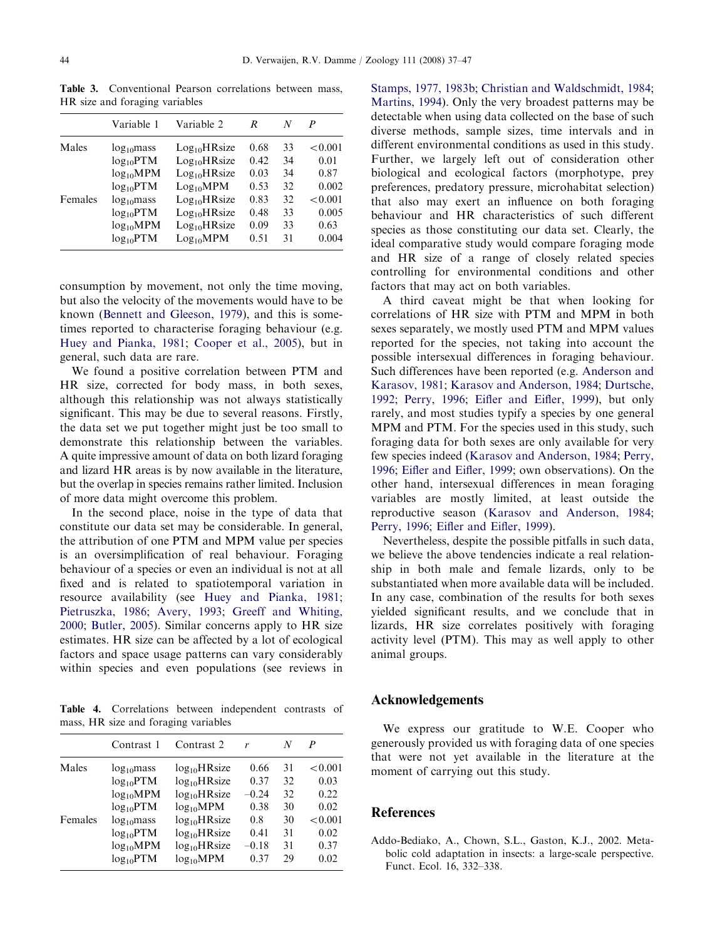|         | Variable 1      | Variable 2               | R    | N  | P       |
|---------|-----------------|--------------------------|------|----|---------|
| Males   | $log_{10}$ mass | Log <sub>10</sub> HRsize | 0.68 | 33 | < 0.001 |
|         | $log_{10}PTM$   | $Log_{10}HRsize$         | 0.42 | 34 | 0.01    |
|         | $log_{10}MPM$   | $Log_{10}HRsize$         | 0.03 | 34 | 0.87    |
|         | $log_{10}PTM$   | Log <sub>10</sub> MPM    | 0.53 | 32 | 0.002   |
| Females | $log_{10}$ mass | $Log_{10}HRsize$         | 0.83 | 32 | < 0.001 |
|         | $log_{10}PTM$   | $Log_{10}HRsize$         | 0.48 | 33 | 0.005   |
|         | $log_{10}MPM$   | $Log_{10}HRsize$         | 0.09 | 33 | 0.63    |
|         | $log_{10}PTM$   | Log <sub>10</sub> MPM    | 0.51 | 31 | 0.004   |

<span id="page-7-0"></span>Table 3. Conventional Pearson correlations between mass, HR size and foraging variables

consumption by movement, not only the time moving, but also the velocity of the movements would have to be known [\(Bennett and Gleeson, 1979\)](#page-8-0), and this is sometimes reported to characterise foraging behaviour (e.g. [Huey and Pianka, 1981;](#page-9-0) [Cooper et al., 2005](#page-8-0)), but in general, such data are rare.

We found a positive correlation between PTM and HR size, corrected for body mass, in both sexes, although this relationship was not always statistically significant. This may be due to several reasons. Firstly, the data set we put together might just be too small to demonstrate this relationship between the variables. A quite impressive amount of data on both lizard foraging and lizard HR areas is by now available in the literature, but the overlap in species remains rather limited. Inclusion of more data might overcome this problem.

In the second place, noise in the type of data that constitute our data set may be considerable. In general, the attribution of one PTM and MPM value per species is an oversimplification of real behaviour. Foraging behaviour of a species or even an individual is not at all fixed and is related to spatiotemporal variation in resource availability (see [Huey and Pianka, 1981](#page-9-0); [Pietruszka, 1986;](#page-10-0) [Avery, 1993;](#page-8-0) [Greeff and Whiting,](#page-8-0) [2000;](#page-8-0) [Butler, 2005\)](#page-8-0). Similar concerns apply to HR size estimates. HR size can be affected by a lot of ecological factors and space usage patterns can vary considerably within species and even populations (see reviews in

Table 4. Correlations between independent contrasts of mass, HR size and foraging variables

|         | Contrast 1      | Contrast 2       | r       | N  | P       |
|---------|-----------------|------------------|---------|----|---------|
| Males   | $log_{10}$ mass | $log_{10}HRsize$ | 0.66    | 31 | < 0.001 |
|         | $log_{10}$ PTM  | $log_{10}HRsize$ | 0.37    | 32 | 0.03    |
|         | $log_{10}MPM$   | $log_{10}HRsize$ | $-0.24$ | 32 | 0.22    |
|         | $log_{10}$ PTM  | $log_{10}MPM$    | 0.38    | 30 | 0.02    |
| Females | $log_{10}$ mass | $log_{10}HRsize$ | 0.8     | 30 | < 0.001 |
|         | $log_{10}$ PTM  | $log_{10}HRsize$ | 0.41    | 31 | 0.02    |
|         | $log_{10}MPM$   | $log_{10}HRsize$ | $-0.18$ | 31 | 0.37    |
|         | $log_{10}PTM$   | $log_{10}MPM$    | 0.37    | 29 | 0.02    |

[Stamps, 1977, 1983b](#page-10-0); [Christian and Waldschmidt, 1984](#page-8-0); [Martins, 1994](#page-9-0)). Only the very broadest patterns may be detectable when using data collected on the base of such diverse methods, sample sizes, time intervals and in different environmental conditions as used in this study. Further, we largely left out of consideration other biological and ecological factors (morphotype, prey preferences, predatory pressure, microhabitat selection) that also may exert an influence on both foraging behaviour and HR characteristics of such different species as those constituting our data set. Clearly, the ideal comparative study would compare foraging mode and HR size of a range of closely related species controlling for environmental conditions and other factors that may act on both variables.

A third caveat might be that when looking for correlations of HR size with PTM and MPM in both sexes separately, we mostly used PTM and MPM values reported for the species, not taking into account the possible intersexual differences in foraging behaviour. Such differences have been reported (e.g. [Anderson and](#page-8-0) [Karasov, 1981](#page-8-0); [Karasov and Anderson, 1984;](#page-9-0) [Durtsche,](#page-8-0) [1992;](#page-8-0) [Perry, 1996](#page-9-0); [Eifler and Eifler, 1999\)](#page-8-0), but only rarely, and most studies typify a species by one general MPM and PTM. For the species used in this study, such foraging data for both sexes are only available for very few species indeed ([Karasov and Anderson, 1984;](#page-9-0) [Perry,](#page-9-0) [1996;](#page-9-0) [Eifler and Eifler, 1999](#page-8-0); own observations). On the other hand, intersexual differences in mean foraging variables are mostly limited, at least outside the reproductive season ([Karasov and Anderson, 1984](#page-9-0); [Perry, 1996;](#page-9-0) [Eifler and Eifler, 1999\)](#page-8-0).

Nevertheless, despite the possible pitfalls in such data, we believe the above tendencies indicate a real relationship in both male and female lizards, only to be substantiated when more available data will be included. In any case, combination of the results for both sexes yielded significant results, and we conclude that in lizards, HR size correlates positively with foraging activity level (PTM). This may as well apply to other animal groups.

# Acknowledgements

We express our gratitude to W.E. Cooper who generously provided us with foraging data of one species that were not yet available in the literature at the moment of carrying out this study.

# References

Addo-Bediako, A., Chown, S.L., Gaston, K.J., 2002. Metabolic cold adaptation in insects: a large-scale perspective. Funct. Ecol. 16, 332–338.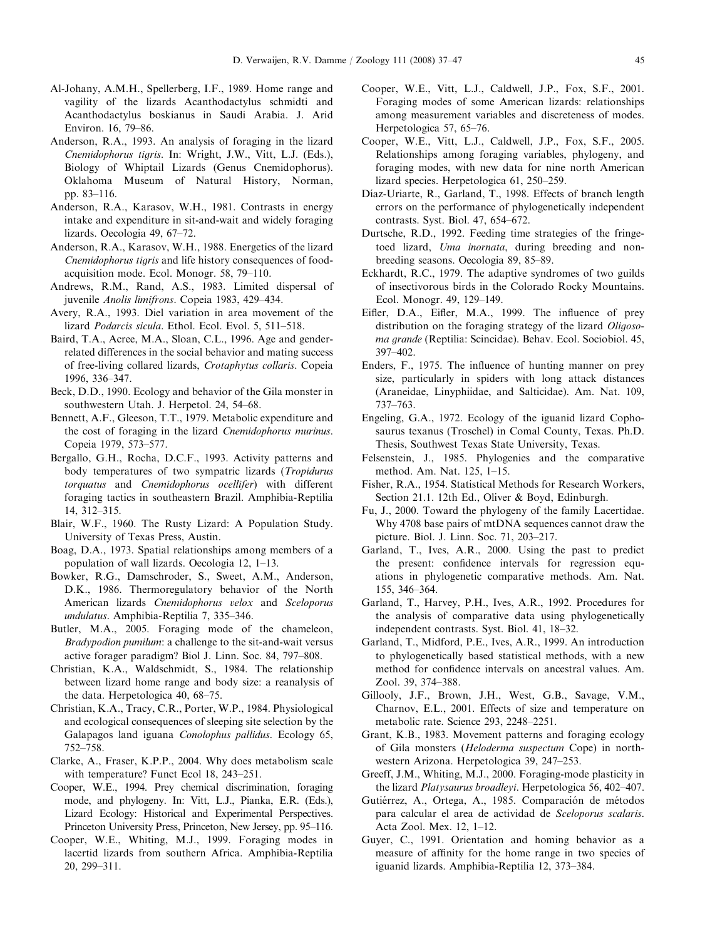- <span id="page-8-0"></span>Al-Johany, A.M.H., Spellerberg, I.F., 1989. Home range and vagility of the lizards Acanthodactylus schmidti and Acanthodactylus boskianus in Saudi Arabia. J. Arid Environ. 16, 79–86.
- Anderson, R.A., 1993. An analysis of foraging in the lizard Cnemidophorus tigris. In: Wright, J.W., Vitt, L.J. (Eds.), Biology of Whiptail Lizards (Genus Cnemidophorus). Oklahoma Museum of Natural History, Norman, pp. 83–116.
- Anderson, R.A., Karasov, W.H., 1981. Contrasts in energy intake and expenditure in sit-and-wait and widely foraging lizards. Oecologia 49, 67–72.
- Anderson, R.A., Karasov, W.H., 1988. Energetics of the lizard Cnemidophorus tigris and life history consequences of foodacquisition mode. Ecol. Monogr. 58, 79–110.
- Andrews, R.M., Rand, A.S., 1983. Limited dispersal of juvenile Anolis limifrons. Copeia 1983, 429–434.
- Avery, R.A., 1993. Diel variation in area movement of the lizard Podarcis sicula. Ethol. Ecol. Evol. 5, 511–518.
- Baird, T.A., Acree, M.A., Sloan, C.L., 1996. Age and genderrelated differences in the social behavior and mating success of free-living collared lizards, Crotaphytus collaris. Copeia 1996, 336–347.
- Beck, D.D., 1990. Ecology and behavior of the Gila monster in southwestern Utah. J. Herpetol. 24, 54–68.
- Bennett, A.F., Gleeson, T.T., 1979. Metabolic expenditure and the cost of foraging in the lizard Cnemidophorus murinus. Copeia 1979, 573–577.
- Bergallo, G.H., Rocha, D.C.F., 1993. Activity patterns and body temperatures of two sympatric lizards (Tropidurus torquatus and Cnemidophorus ocellifer) with different foraging tactics in southeastern Brazil. Amphibia-Reptilia 14, 312–315.
- Blair, W.F., 1960. The Rusty Lizard: A Population Study. University of Texas Press, Austin.
- Boag, D.A., 1973. Spatial relationships among members of a population of wall lizards. Oecologia 12, 1–13.
- Bowker, R.G., Damschroder, S., Sweet, A.M., Anderson, D.K., 1986. Thermoregulatory behavior of the North American lizards Cnemidophorus velox and Sceloporus undulatus. Amphibia-Reptilia 7, 335–346.
- Butler, M.A., 2005. Foraging mode of the chameleon, Bradypodion pumilum: a challenge to the sit-and-wait versus active forager paradigm? Biol J. Linn. Soc. 84, 797–808.
- Christian, K.A., Waldschmidt, S., 1984. The relationship between lizard home range and body size: a reanalysis of the data. Herpetologica 40, 68–75.
- Christian, K.A., Tracy, C.R., Porter, W.P., 1984. Physiological and ecological consequences of sleeping site selection by the Galapagos land iguana Conolophus pallidus. Ecology 65, 752–758.
- Clarke, A., Fraser, K.P.P., 2004. Why does metabolism scale with temperature? Funct Ecol 18, 243–251.
- Cooper, W.E., 1994. Prey chemical discrimination, foraging mode, and phylogeny. In: Vitt, L.J., Pianka, E.R. (Eds.), Lizard Ecology: Historical and Experimental Perspectives. Princeton University Press, Princeton, New Jersey, pp. 95–116.
- Cooper, W.E., Whiting, M.J., 1999. Foraging modes in lacertid lizards from southern Africa. Amphibia-Reptilia 20, 299–311.
- Cooper, W.E., Vitt, L.J., Caldwell, J.P., Fox, S.F., 2001. Foraging modes of some American lizards: relationships among measurement variables and discreteness of modes. Herpetologica 57, 65–76.
- Cooper, W.E., Vitt, L.J., Caldwell, J.P., Fox, S.F., 2005. Relationships among foraging variables, phylogeny, and foraging modes, with new data for nine north American lizard species. Herpetologica 61, 250–259.
- Díaz-Uriarte, R., Garland, T., 1998. Effects of branch length errors on the performance of phylogenetically independent contrasts. Syst. Biol. 47, 654–672.
- Durtsche, R.D., 1992. Feeding time strategies of the fringetoed lizard, Uma inornata, during breeding and nonbreeding seasons. Oecologia 89, 85–89.
- Eckhardt, R.C., 1979. The adaptive syndromes of two guilds of insectivorous birds in the Colorado Rocky Mountains. Ecol. Monogr. 49, 129–149.
- Eifler, D.A., Eifler, M.A., 1999. The influence of prey distribution on the foraging strategy of the lizard Oligosoma grande (Reptilia: Scincidae). Behav. Ecol. Sociobiol. 45, 397–402.
- Enders, F., 1975. The influence of hunting manner on prey size, particularly in spiders with long attack distances (Araneidae, Linyphiidae, and Salticidae). Am. Nat. 109, 737–763.
- Engeling, G.A., 1972. Ecology of the iguanid lizard Cophosaurus texanus (Troschel) in Comal County, Texas. Ph.D. Thesis, Southwest Texas State University, Texas.
- Felsenstein, J., 1985. Phylogenies and the comparative method. Am. Nat. 125, 1–15.
- Fisher, R.A., 1954. Statistical Methods for Research Workers, Section 21.1. 12th Ed., Oliver & Boyd, Edinburgh.
- Fu, J., 2000. Toward the phylogeny of the family Lacertidae. Why 4708 base pairs of mtDNA sequences cannot draw the picture. Biol. J. Linn. Soc. 71, 203–217.
- Garland, T., Ives, A.R., 2000. Using the past to predict the present: confidence intervals for regression equations in phylogenetic comparative methods. Am. Nat. 155, 346–364.
- Garland, T., Harvey, P.H., Ives, A.R., 1992. Procedures for the analysis of comparative data using phylogenetically independent contrasts. Syst. Biol. 41, 18–32.
- Garland, T., Midford, P.E., Ives, A.R., 1999. An introduction to phylogenetically based statistical methods, with a new method for confidence intervals on ancestral values. Am. Zool. 39, 374–388.
- Gillooly, J.F., Brown, J.H., West, G.B., Savage, V.M., Charnov, E.L., 2001. Effects of size and temperature on metabolic rate. Science 293, 2248–2251.
- Grant, K.B., 1983. Movement patterns and foraging ecology of Gila monsters (Heloderma suspectum Cope) in northwestern Arizona. Herpetologica 39, 247–253.
- Greeff, J.M., Whiting, M.J., 2000. Foraging-mode plasticity in the lizard Platysaurus broadleyi. Herpetologica 56, 402–407.
- Gutiérrez, A., Ortega, A., 1985. Comparación de métodos para calcular el area de actividad de Sceloporus scalaris. Acta Zool. Mex. 12, 1–12.
- Guyer, C., 1991. Orientation and homing behavior as a measure of affinity for the home range in two species of iguanid lizards. Amphibia-Reptilia 12, 373–384.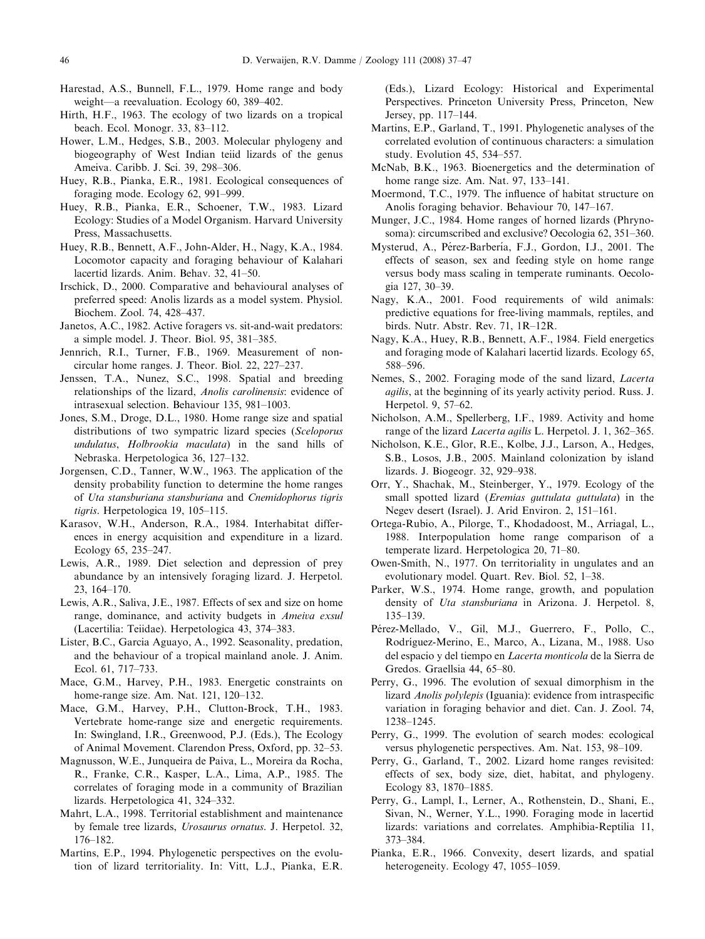- <span id="page-9-0"></span>Harestad, A.S., Bunnell, F.L., 1979. Home range and body weight—a reevaluation. Ecology 60, 389–402.
- Hirth, H.F., 1963. The ecology of two lizards on a tropical beach. Ecol. Monogr. 33, 83–112.
- Hower, L.M., Hedges, S.B., 2003. Molecular phylogeny and biogeography of West Indian teiid lizards of the genus Ameiva. Caribb. J. Sci. 39, 298–306.
- Huey, R.B., Pianka, E.R., 1981. Ecological consequences of foraging mode. Ecology 62, 991–999.
- Huey, R.B., Pianka, E.R., Schoener, T.W., 1983. Lizard Ecology: Studies of a Model Organism. Harvard University Press, Massachusetts.
- Huey, R.B., Bennett, A.F., John-Alder, H., Nagy, K.A., 1984. Locomotor capacity and foraging behaviour of Kalahari lacertid lizards. Anim. Behav. 32, 41–50.
- Irschick, D., 2000. Comparative and behavioural analyses of preferred speed: Anolis lizards as a model system. Physiol. Biochem. Zool. 74, 428–437.
- Janetos, A.C., 1982. Active foragers vs. sit-and-wait predators: a simple model. J. Theor. Biol. 95, 381–385.
- Jennrich, R.I., Turner, F.B., 1969. Measurement of noncircular home ranges. J. Theor. Biol. 22, 227–237.
- Jenssen, T.A., Nunez, S.C., 1998. Spatial and breeding relationships of the lizard, Anolis carolinensis: evidence of intrasexual selection. Behaviour 135, 981–1003.
- Jones, S.M., Droge, D.L., 1980. Home range size and spatial distributions of two sympatric lizard species (Sceloporus undulatus, Holbrookia maculata) in the sand hills of Nebraska. Herpetologica 36, 127–132.
- Jorgensen, C.D., Tanner, W.W., 1963. The application of the density probability function to determine the home ranges of Uta stansburiana stansburiana and Cnemidophorus tigris tigris. Herpetologica 19, 105–115.
- Karasov, W.H., Anderson, R.A., 1984. Interhabitat differences in energy acquisition and expenditure in a lizard. Ecology 65, 235–247.
- Lewis, A.R., 1989. Diet selection and depression of prey abundance by an intensively foraging lizard. J. Herpetol. 23, 164–170.
- Lewis, A.R., Saliva, J.E., 1987. Effects of sex and size on home range, dominance, and activity budgets in *Ameiva exsul* (Lacertilia: Teiidae). Herpetologica 43, 374–383.
- Lister, B.C., Garcia Aguayo, A., 1992. Seasonality, predation, and the behaviour of a tropical mainland anole. J. Anim. Ecol. 61, 717–733.
- Mace, G.M., Harvey, P.H., 1983. Energetic constraints on home-range size. Am. Nat. 121, 120–132.
- Mace, G.M., Harvey, P.H., Clutton-Brock, T.H., 1983. Vertebrate home-range size and energetic requirements. In: Swingland, I.R., Greenwood, P.J. (Eds.), The Ecology of Animal Movement. Clarendon Press, Oxford, pp. 32–53.
- Magnusson, W.E., Junqueira de Paiva, L., Moreira da Rocha, R., Franke, C.R., Kasper, L.A., Lima, A.P., 1985. The correlates of foraging mode in a community of Brazilian lizards. Herpetologica 41, 324–332.
- Mahrt, L.A., 1998. Territorial establishment and maintenance by female tree lizards, Urosaurus ornatus. J. Herpetol. 32, 176–182.
- Martins, E.P., 1994. Phylogenetic perspectives on the evolution of lizard territoriality. In: Vitt, L.J., Pianka, E.R.

(Eds.), Lizard Ecology: Historical and Experimental Perspectives. Princeton University Press, Princeton, New Jersey, pp. 117–144.

- Martins, E.P., Garland, T., 1991. Phylogenetic analyses of the correlated evolution of continuous characters: a simulation study. Evolution 45, 534–557.
- McNab, B.K., 1963. Bioenergetics and the determination of home range size. Am. Nat. 97, 133–141.
- Moermond, T.C., 1979. The influence of habitat structure on Anolis foraging behavior. Behaviour 70, 147–167.
- Munger, J.C., 1984. Home ranges of horned lizards (Phrynosoma): circumscribed and exclusive? Oecologia 62, 351–360.
- Mysterud, A., Pérez-Barbería, F.J., Gordon, I.J., 2001. The effects of season, sex and feeding style on home range versus body mass scaling in temperate ruminants. Oecologia 127, 30–39.
- Nagy, K.A., 2001. Food requirements of wild animals: predictive equations for free-living mammals, reptiles, and birds. Nutr. Abstr. Rev. 71, 1R–12R.
- Nagy, K.A., Huey, R.B., Bennett, A.F., 1984. Field energetics and foraging mode of Kalahari lacertid lizards. Ecology 65, 588–596.
- Nemes, S., 2002. Foraging mode of the sand lizard, Lacerta agilis, at the beginning of its yearly activity period. Russ. J. Herpetol. 9, 57–62.
- Nicholson, A.M., Spellerberg, I.F., 1989. Activity and home range of the lizard Lacerta agilis L. Herpetol. J. 1, 362–365.
- Nicholson, K.E., Glor, R.E., Kolbe, J.J., Larson, A., Hedges, S.B., Losos, J.B., 2005. Mainland colonization by island lizards. J. Biogeogr. 32, 929–938.
- Orr, Y., Shachak, M., Steinberger, Y., 1979. Ecology of the small spotted lizard (*Eremias guttulata guttulata*) in the Negev desert (Israel). J. Arid Environ. 2, 151–161.
- Ortega-Rubio, A., Pilorge, T., Khodadoost, M., Arriagal, L., 1988. Interpopulation home range comparison of a temperate lizard. Herpetologica 20, 71–80.
- Owen-Smith, N., 1977. On territoriality in ungulates and an evolutionary model. Quart. Rev. Biol. 52, 1–38.
- Parker, W.S., 1974. Home range, growth, and population density of Uta stansburiana in Arizona. J. Herpetol. 8, 135–139.
- Pérez-Mellado, V., Gil, M.J., Guerrero, F., Pollo, C., Rodríguez-Merino, E., Marco, A., Lizana, M., 1988. Uso del espacio y del tiempo en Lacerta monticola de la Sierra de Gredos. Graellsia 44, 65–80.
- Perry, G., 1996. The evolution of sexual dimorphism in the lizard Anolis polylepis (Iguania): evidence from intraspecific variation in foraging behavior and diet. Can. J. Zool. 74, 1238–1245.
- Perry, G., 1999. The evolution of search modes: ecological versus phylogenetic perspectives. Am. Nat. 153, 98–109.
- Perry, G., Garland, T., 2002. Lizard home ranges revisited: effects of sex, body size, diet, habitat, and phylogeny. Ecology 83, 1870–1885.
- Perry, G., Lampl, I., Lerner, A., Rothenstein, D., Shani, E., Sivan, N., Werner, Y.L., 1990. Foraging mode in lacertid lizards: variations and correlates. Amphibia-Reptilia 11, 373–384.
- Pianka, E.R., 1966. Convexity, desert lizards, and spatial heterogeneity. Ecology 47, 1055–1059.